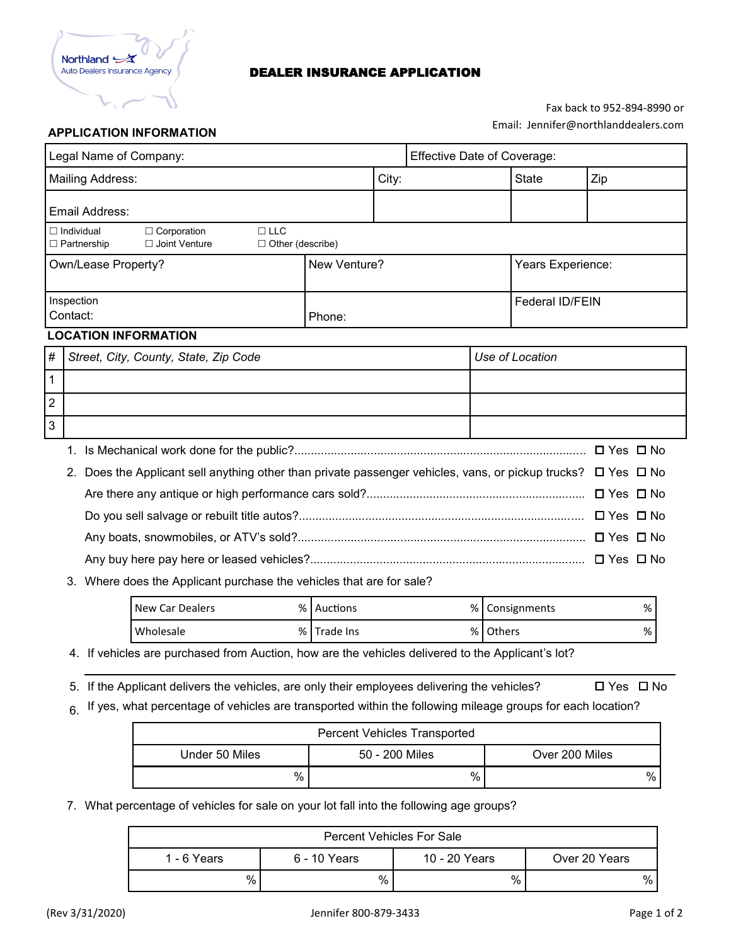

### DEALER INSURANCE APPLICATION

# Fax back to 952-894-8990 or Email: Jennifer@northlanddealers.com

### **APPLICATION INFORMATION**

| Legal Name of Company:                                               |                                                                                                                            |                                                                                                                                |              |                        | Effective Date of Coverage: |  |                   |                      |  |  |
|----------------------------------------------------------------------|----------------------------------------------------------------------------------------------------------------------------|--------------------------------------------------------------------------------------------------------------------------------|--------------|------------------------|-----------------------------|--|-------------------|----------------------|--|--|
| Mailing Address:                                                     |                                                                                                                            |                                                                                                                                |              | City:                  |                             |  | <b>State</b>      | Zip                  |  |  |
| Email Address:                                                       |                                                                                                                            |                                                                                                                                |              |                        |                             |  |                   |                      |  |  |
|                                                                      |                                                                                                                            | $\Box$ LLC<br>$\Box$ Individual<br>$\Box$ Corporation<br>$\Box$ Joint Venture<br>$\Box$ Other (describe)<br>$\Box$ Partnership |              |                        |                             |  |                   |                      |  |  |
|                                                                      |                                                                                                                            | Own/Lease Property?                                                                                                            | New Venture? |                        |                             |  | Years Experience: |                      |  |  |
|                                                                      | Contact:                                                                                                                   | Inspection                                                                                                                     | Phone:       | <b>Federal ID/FEIN</b> |                             |  |                   |                      |  |  |
|                                                                      |                                                                                                                            | <b>LOCATION INFORMATION</b>                                                                                                    |              |                        |                             |  |                   |                      |  |  |
| #                                                                    |                                                                                                                            | Street, City, County, State, Zip Code                                                                                          |              |                        | Use of Location             |  |                   |                      |  |  |
| 1                                                                    |                                                                                                                            |                                                                                                                                |              |                        |                             |  |                   |                      |  |  |
| $\overline{2}$                                                       |                                                                                                                            |                                                                                                                                |              |                        |                             |  |                   |                      |  |  |
| 3                                                                    |                                                                                                                            |                                                                                                                                |              |                        |                             |  |                   |                      |  |  |
|                                                                      | 1.                                                                                                                         |                                                                                                                                |              |                        |                             |  |                   | $\Box$ Yes $\Box$ No |  |  |
|                                                                      | Does the Applicant sell anything other than private passenger vehicles, vans, or pickup trucks? $\Box$ Yes $\Box$ No<br>2. |                                                                                                                                |              |                        |                             |  |                   |                      |  |  |
|                                                                      |                                                                                                                            |                                                                                                                                |              |                        |                             |  |                   | $\Box$ Yes $\Box$ No |  |  |
|                                                                      |                                                                                                                            |                                                                                                                                |              |                        |                             |  |                   | $\Box$ Yes $\Box$ No |  |  |
|                                                                      |                                                                                                                            |                                                                                                                                |              |                        |                             |  |                   |                      |  |  |
|                                                                      |                                                                                                                            |                                                                                                                                |              |                        |                             |  |                   |                      |  |  |
| 3. Where does the Applicant purchase the vehicles that are for sale? |                                                                                                                            |                                                                                                                                |              |                        |                             |  |                   |                      |  |  |

| New Car Dealers |     | % Auctions | $%$ $\overline{\phantom{0}}$<br>% Consignments |
|-----------------|-----|------------|------------------------------------------------|
| Wholesale       | % I | Trade Ins  | $%$ 1<br>%   Others                            |

4. If vehicles are purchased from Auction, how are the vehicles delivered to the Applicant's lot?

5. If the Applicant delivers the vehicles, are only their employees delivering the vehicles?  $\Box$  Yes  $\Box$  No

 $6.$  If yes, what percentage of vehicles are transported within the following mileage groups for each location?

| <b>Percent Vehicles Transported</b> |                |                |  |  |  |  |
|-------------------------------------|----------------|----------------|--|--|--|--|
| Under 50 Miles                      | 50 - 200 Miles | Over 200 Miles |  |  |  |  |
| %                                   | %              | $\%$           |  |  |  |  |

7. What percentage of vehicles for sale on your lot fall into the following age groups?

| <b>Percent Vehicles For Sale</b> |              |               |               |  |  |  |  |
|----------------------------------|--------------|---------------|---------------|--|--|--|--|
| 1 - 6 Years                      | 6 - 10 Years | 10 - 20 Years | Over 20 Years |  |  |  |  |
| %                                | %            | %             | $\%$          |  |  |  |  |